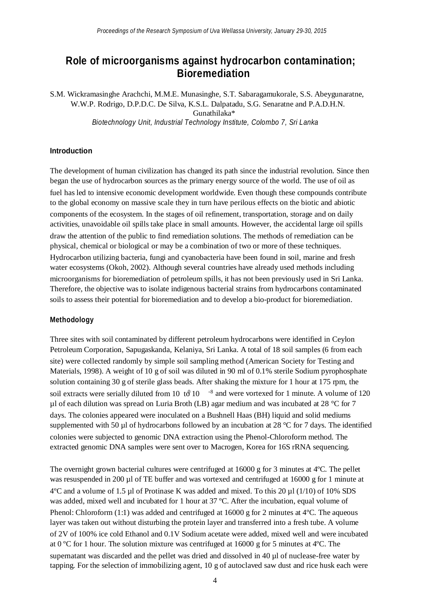# **Role of microorganisms against hydrocarbon contamination; Bioremediation**

S.M. Wickramasinghe Arachchi, M.M.E. Munasinghe, S.T. Sabaragamukorale, S.S. Abeygunaratne, W.W.P. Rodrigo, D.P.D.C. De Silva, K.S.L. Dalpatadu, S.G. Senaratne and P.A.D.H.N. Gunathilaka\* *Biotechnology Unit, Industrial Technology Institute, Colombo 7, Sri Lanka*

### **Introduction**

The development of human civilization has changed its path since the industrial revolution. Since then began the use of hydrocarbon sources as the primary energy source of the world. The use of oil as fuel has led to intensive economic development worldwide. Even though these compounds contribute to the global economy on massive scale they in turn have perilous effects on the biotic and abiotic components of the ecosystem. In the stages of oil refinement, transportation, storage and on daily activities, unavoidable oil spills take place in small amounts. However, the accidental large oil spills draw the attention of the public to find remediation solutions. The methods of remediation can be physical, chemical or biological or may be a combination of two or more of these techniques. Hydrocarbon utilizing bacteria, fungi and cyanobacteria have been found in soil, marine and fresh water ecosystems (Okoh, 2002). Although several countries have already used methods including microorganisms for bioremediation of petroleum spills, it has not been previously used in Sri Lanka. Therefore, the objective was to isolate indigenous bacterial strains from hydrocarbons contaminated soils to assess their potential for bioremediation and to develop a bio-product for bioremediation.

#### **Methodology**

soil extracts were serially diluted from 10 to  $\theta$  10  $\rightarrow$  8 and were vortexed for 1 minute. A volume of 120 Three sites with soil contaminated by different petroleum hydrocarbons were identified in Ceylon Petroleum Corporation, Sapugaskanda, Kelaniya, Sri Lanka. A total of 18 soil samples (6 from each site) were collected randomly by simple soil sampling method (American Society for Testing and Materials, 1998). A weight of 10 g of soil was diluted in 90 ml of 0.1% sterile Sodium pyrophosphate solution containing 30 g of sterile glass beads. After shaking the mixture for 1 hour at 175 rpm, the µl of each dilution was spread on Luria Broth (LB) agar medium and was incubated at 28 °C for 7 days. The colonies appeared were inoculated on a Bushnell Haas (BH) liquid and solid mediums supplemented with 50  $\mu$ l of hydrocarbons followed by an incubation at 28 °C for 7 days. The identified colonies were subjected to genomic DNA extraction using the Phenol-Chloroform method. The extracted genomic DNA samples were sent over to Macrogen, Korea for 16S rRNA sequencing.

The overnight grown bacterial cultures were centrifuged at 16000 g for 3 minutes at 4ºC. The pellet was resuspended in 200 µl of TE buffer and was vortexed and centrifuged at 16000 g for 1 minute at  $4^{\circ}$ C and a volume of 1.5 µl of Protinase K was added and mixed. To this 20 µl (1/10) of 10% SDS was added, mixed well and incubated for 1 hour at 37 °C. After the incubation, equal volume of Phenol: Chloroform  $(1:1)$  was added and centrifuged at 16000 g for 2 minutes at 4 $\degree$ C. The aqueous layer was taken out without disturbing the protein layer and transferred into a fresh tube. A volume of 2V of 100% ice cold Ethanol and 0.1V Sodium acetate were added, mixed well and were incubated at 0 ºC for 1 hour. The solution mixture was centrifuged at 16000 g for 5 minutes at 4ºC. The supernatant was discarded and the pellet was dried and dissolved in 40 µl of nuclease-free water by tapping. For the selection of immobilizing agent, 10 g of autoclaved saw dust and rice husk each were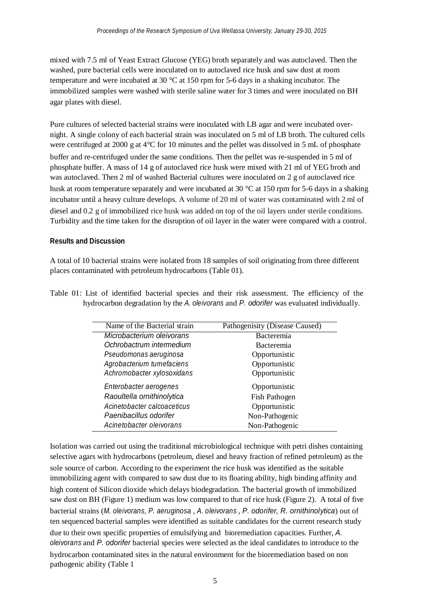mixed with 7.5 ml of Yeast Extract Glucose (YEG) broth separately and was autoclaved. Then the washed, pure bacterial cells were inoculated on to autoclaved rice husk and saw dust at room temperature and were incubated at 30 °C at 150 rpm for 5-6 days in a shaking incubator. The immobilized samples were washed with sterile saline water for 3 times and were inoculated on BH agar plates with diesel.

Pure cultures of selected bacterial strains were inoculated with LB agar and were incubated overnight. A single colony of each bacterial strain was inoculated on 5 ml of LB broth. The cultured cells were centrifuged at 2000 g at 4°C for 10 minutes and the pellet was dissolved in 5 mL of phosphate buffer and re-centrifuged under the same conditions. Then the pellet was re-suspended in 5 ml of phosphate buffer. A mass of 14 g of autoclaved rice husk were mixed with 21 ml of YEG broth and was autoclaved. Then 2 ml of washed Bacterial cultures were inoculated on 2 g of autoclaved rice husk at room temperature separately and were incubated at 30 °C at 150 rpm for 5-6 days in a shaking incubator until a heavy culture develops. A volume of 20 ml of water was contaminated with 2 ml of diesel and 0.2 g of immobilized rice husk was added on top of the oil layers under sterile conditions. Turbidity and the time taken for the disruption of oil layer in the water were compared with a control.

#### **Results and Discussion**

A total of 10 bacterial strains were isolated from 18 samples of soil originating from three different places contaminated with petroleum hydrocarbons (Table 01).

| Name of the Bacterial strain | Pathogenisity (Disease Caused) |
|------------------------------|--------------------------------|
| Microbacterium oleivorans    | <b>Bacteremia</b>              |
| Ochrobactrum intermedium     | <b>Bacteremia</b>              |
| Pseudomonas aeruginosa       | Opportunistic                  |
| Agrobacterium tumefaciens    | Opportunistic                  |
| Achromobacter xylosoxidans   | Opportunistic                  |
| Enterobacter aerogenes       | Opportunistic                  |
| Raoultella ornithinolytica   | Fish Pathogen                  |
| Acinetobacter calcoaceticus  | Opportunistic                  |
| Paenibacillus odorifer       | Non-Pathogenic                 |
| Acinetobacter oleivorans     | Non-Pathogenic                 |
|                              |                                |

Table 01: List of identified bacterial species and their risk assessment. The efficiency of the hydrocarbon degradation by the *A. oleivorans* and *P. odorifer* was evaluated individually.

Isolation was carried out using the traditional microbiological technique with petri dishes containing selective agars with hydrocarbons (petroleum, diesel and heavy fraction of refined petroleum) as the sole source of carbon. According to the experiment the rice husk was identified as the suitable immobilizing agent with compared to saw dust due to its floating ability, high binding affinity and high content of Silicon dioxide which delays biodegradation. The bacterial growth of immobilized saw dust on BH (Figure 1) medium was low compared to that of rice husk (Figure 2). A total of five bacterial strains (*M. oleivorans, P. aeruginosa* , *A. oleivorans* , *P. odorifer, R. ornithinolytica*) out of ten sequenced bacterial samples were identified as suitable candidates for the current research study due to their own specific properties of emulsifying and bioremediation capacities. Further, *A. oleivorans* and *P. odorifer* bacterial species were selected as the ideal candidates to introduce to the hydrocarbon contaminated sites in the natural environment for the bioremediation based on non pathogenic ability (Table 1